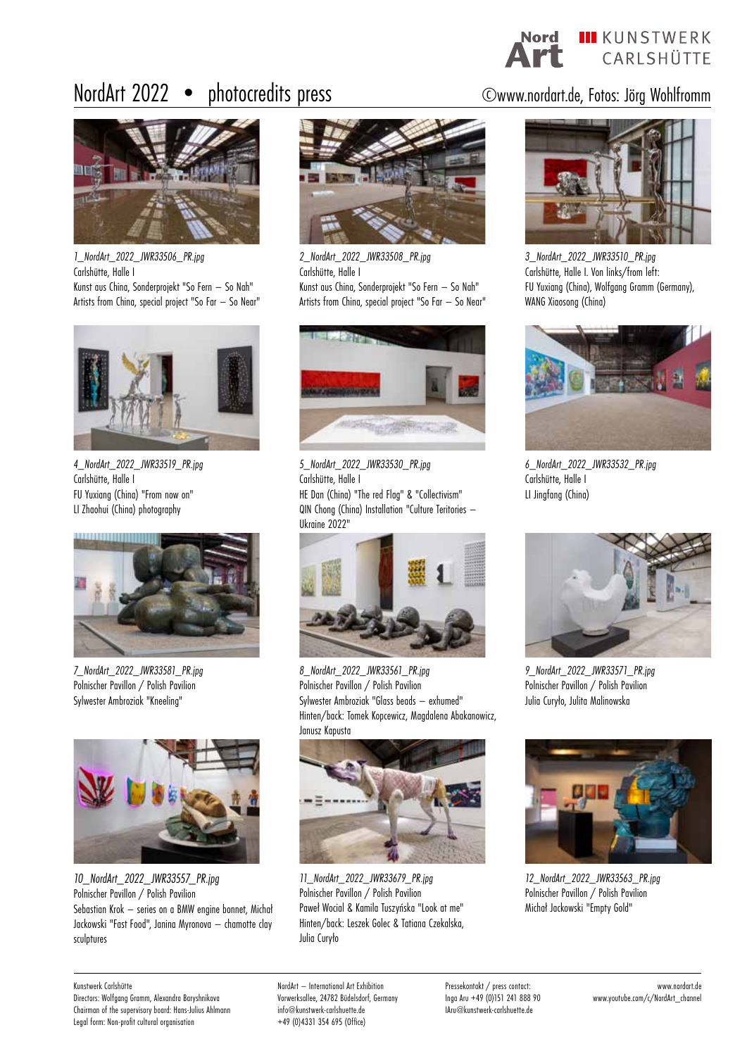Nord III KUNSTWERK CARLSHÜTTE

## NordArt 2022 • photocredits press ©www.nordart.de, Fotos: Jörg Wohlfromm



*1\_NordArt\_2022\_JWR33506\_PR.jpg* Carlshütte, Halle I Kunst aus China, Sonderprojekt "So Fern – So Nah" Artists from China, special project "So Far – So Near"



*4\_NordArt\_2022\_JWR33519\_PR.jpg* Carlshütte, Halle I FU Yuxiang (China) "From now on" LI Zhaohui (China) photography



*7\_NordArt\_2022\_JWR33581\_PR.jpg* Polnischer Pavillon / Polish Pavilion Sylwester Ambroziak "Kneeling"



*10\_NordArt\_2022\_JWR33557\_PR.jpg* Polnischer Pavillon / Polish Pavilion Sebastian Krok – series on a BMW engine bonnet, Michał Jackowski "Fast Food", Janina Myronova – chamotte clay sculptures



*2\_NordArt\_2022\_JWR33508\_PR.jpg* Carlshütte, Halle I Kunst aus China, Sonderprojekt "So Fern – So Nah" Artists from China, special project "So Far – So Near"



*5\_NordArt\_2022\_JWR33530\_PR.jpg* Carlshütte, Halle I HE Dan (China) "The red Flag" & "Collectivism" QIN Chong (China) Installation "Culture Teritories – Ukraine 2022"



*8\_NordArt\_2022\_JWR33561\_PR.jpg* Polnischer Pavillon / Polish Pavilion Sylwester Ambroziak "Glass beads – exhumed" Hinten/back: Tomek Kopcewicz, Magdalena Abakanowicz, Janusz Kapusta



*11\_NordArt\_2022\_JWR33679\_PR.jpg* Polnischer Pavillon / Polish Pavilion Paweł Wocial & Kamila Tuszyńska "Look at me" Hinten/back: Leszek Golec & Tatiana Czekalska, Julia Curyło



*3\_NordArt\_2022\_JWR33510\_PR.jpg* Carlshütte, Halle I. Von links/from left: FU Yuxiang (China), Wolfgang Gramm (Germany), WANG Xiaosong (China)



*6\_NordArt\_2022\_JWR33532\_PR.jpg* Carlshütte, Halle I LI Jingfang (China)



*9\_NordArt\_2022\_JWR33571\_PR.jpg* Polnischer Pavillon / Polish Pavilion Julia Curyło, Julita Malinowska



*12\_NordArt\_2022\_JWR33563\_PR.jpg* Polnischer Pavillon / Polish Pavilion Michał Jackowski "Empty Gold"

Kunstwerk Carlshütte

Directors: Wolfgang Gramm, Alexandra Baryshnikova Chairman of the supervisory board: Hans-Julius Ahlmann Legal form: Non-profit cultural organisation

Pressekontakt / press contact: Inga Aru +49 (0)151 241 888 90 IAru@kunstwerk-carlshuette.de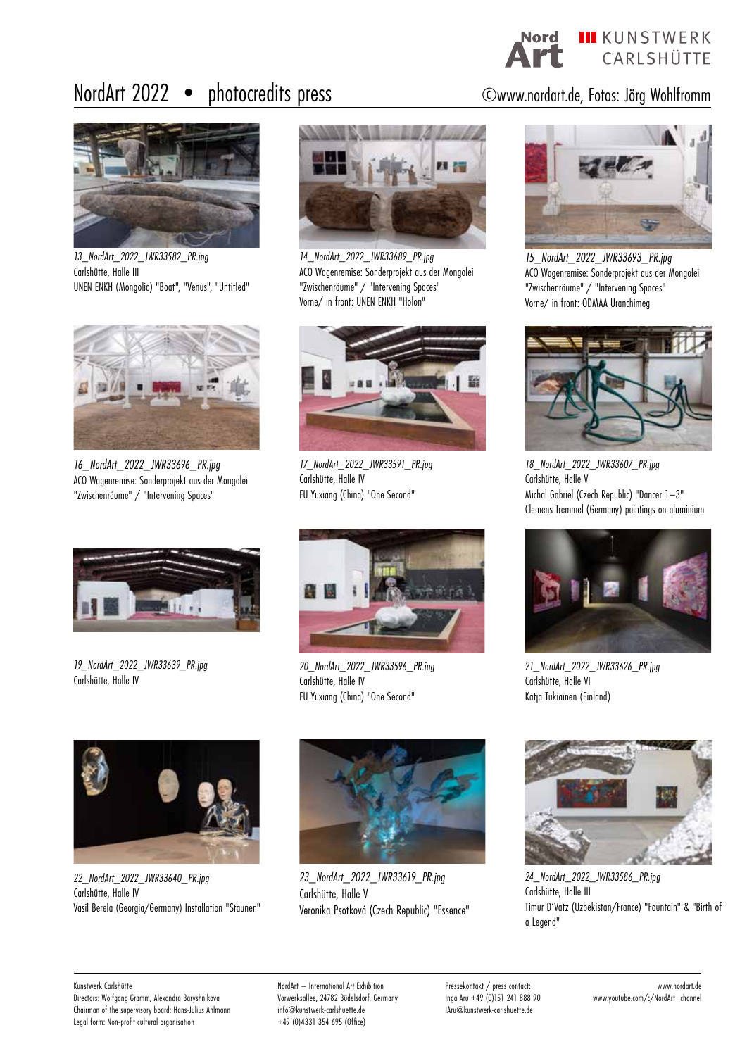Nord III KUNSTWERK CARLSHÜTTE

# NordArt 2022 • photocredits press ©www.nordart.de, Fotos: Jörg Wohlfromm



*13\_NordArt\_2022\_JWR33582\_PR.jpg* Carlshütte, Halle III UNEN ENKH (Mongolia) "Boat", "Venus", "Untitled"



*16\_NordArt\_2022\_JWR33696\_PR.jpg* ACO Wagenremise: Sonderprojekt aus der Mongolei "Zwischenräume" / "Intervening Spaces"



*19\_NordArt\_2022\_JWR33639\_PR.jpg* Carlshütte, Halle IV



*14\_NordArt\_2022\_JWR33689\_PR.jpg* ACO Wagenremise: Sonderprojekt aus der Mongolei "Zwischenräume" / "Intervening Spaces" Vorne/ in front: UNEN ENKH "Holon"



*17\_NordArt\_2022\_JWR33591\_PR.jpg* Carlshütte, Halle IV FU Yuxiang (China) "One Second"



*20\_NordArt\_2022\_JWR33596\_PR.jpg* Carlshütte, Halle IV FU Yuxiang (China) "One Second"



*15\_NordArt\_2022\_JWR33693\_PR.jpg* ACO Wagenremise: Sonderprojekt aus der Mongolei "Zwischenräume" / "Intervening Spaces" Vorne/ in front: ODMAA Uranchimeg



*18\_NordArt\_2022\_JWR33607\_PR.jpg* Carlshütte, Halle V Michal Gabriel (Czech Republic) "Dancer 1–3" Clemens Tremmel (Germany) paintings on aluminium



*21\_NordArt\_2022\_JWR33626\_PR.jpg* Carlshütte, Halle VI Katja Tukiainen (Finland)



*22\_NordArt\_2022\_JWR33640\_PR.jpg* Carlshütte, Halle IV Vasil Berela (Georgia/Germany) Installation "Staunen"



*23\_NordArt\_2022\_JWR33619\_PR.jpg* Carlshütte, Halle V Veronika Psotková (Czech Republic) "Essence"



*24\_NordArt\_2022\_JWR33586\_PR.jpg* Carlshütte, Halle III Timur D'Vatz (Uzbekistan/France) "Fountain" & "Birth of a Legend"

### Kunstwerk Carlshütte

Directors: Wolfgang Gramm, Alexandra Baryshnikova Chairman of the supervisory board: Hans-Julius Ahlmann Legal form: Non-profit cultural organisation

NordArt – International Art Exhibition Vorwerksallee, 24782 Büdelsdorf, Germany info@kunstwerk-carlshuette.de +49 (0)4331 354 695 (Office)

Pressekontakt / press contact: Inga Aru +49 (0)151 241 888 90 IAru@kunstwerk-carlshuette.de